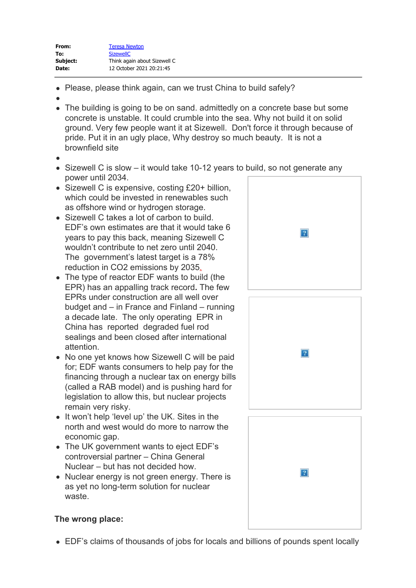- Please, please think again, can we trust China to build safely?
- 
- The building is going to be on sand. admittedly on a concrete base but some concrete is unstable. It could crumble into the sea. Why not build it on solid ground. Very few people want it at Sizewell. Don't force it through because of pride. Put it in an ugly place, Why destroy so much beauty. It is not a brownfield site
- 
- Sizewell C is slow it would take 10-12 years to build, so not generate any power until 2034.
- Sizewell C is expensive, costing £20+ billion, which could be invested in renewables such as offshore wind or hydrogen storage.
- Sizewell C takes a lot of carbon to build. EDF's own estimates are that it would take 6 years to pay this back, meaning Sizewell C wouldn't contribute to net zero until 2040. The government's latest target is a 78% reduction in CO2 emissions by 2035[.](https://gbr01.safelinks.protection.outlook.com/?url=https%3A%2F%2Fstopsizewellc.org%2Fcore%2Fwp-content%2Fuploads%2F2021%2F05%2F1-Blow-me-down.jpg&data=04%7C01%7Csizewellc%40planninginspectorate.gov.uk%7Cb0039945865e4879681908d98db56d16%7C5878df986f8848ab9322998ce557088d%7C0%7C0%7C637696633045350906%7CUnknown%7CTWFpbGZsb3d8eyJWIjoiMC4wLjAwMDAiLCJQIjoiV2luMzIiLCJBTiI6Ik1haWwiLCJXVCI6Mn0%3D%7C3000&sdata=bVnmad2iiiV4gueiRaz2Tn9Z00QCG%2BCRgdlvbZ0r7xU%3D&reserved=0)
- The type of reactor EDF wants to build (the EPR) has an appalling track record**.** The few EPRs under construction are all well over budget and – in France and Finland – running a decade late. The only operating EPR in China has reported degraded fuel rod sealings and been closed after international attention.
- No one yet knows how Sizewell C will be paid for; EDF wants consumers to help pay for the financing through a nuclear tax on energy bills (called a RAB model) and is pushing hard for legislation to allow this, but nuclear projects remain very risky.
- It won't help 'level up' the UK. Sites in the north and west would do more to narrow the economic gap.
- The UK government wants to eject EDF's controversial partner – China General Nuclear – but has not decided how.
- Nuclear energy is not green energy. There is as yet no long-term solution for nuclear waste.







## **The wrong place:**

EDF's claims of thousands of jobs for locals and billions of pounds spent locally